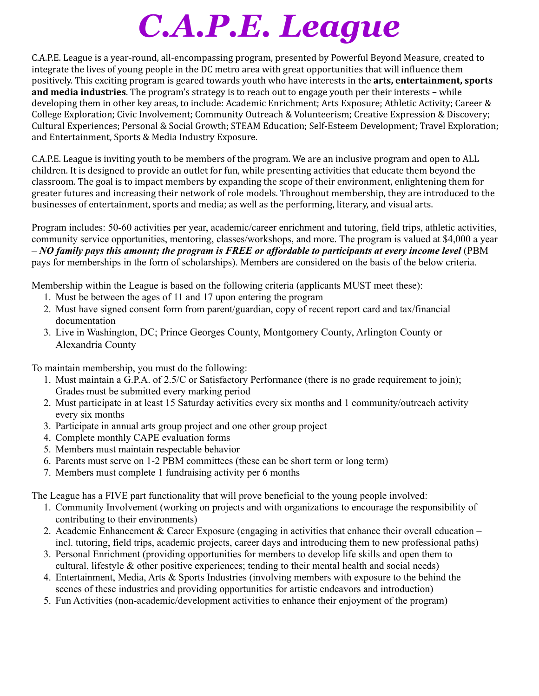# *C.A.P.E. League*

C.A.P.E. League is a year-round, all-encompassing program, presented by Powerful Beyond Measure, created to integrate the lives of young people in the DC metro area with great opportunities that will influence them positively. This exciting program is geared towards youth who have interests in the **arts, entertainment, sports and media industries**. The program's strategy is to reach out to engage youth per their interests – while developing them in other key areas, to include: Academic Enrichment; Arts Exposure; Athletic Activity; Career & College Exploration; Civic Involvement; Community Outreach & Volunteerism; Creative Expression & Discovery; Cultural Experiences; Personal & Social Growth; STEAM Education; Self-Esteem Development; Travel Exploration; and Entertainment, Sports & Media Industry Exposure.

C.A.P.E. League is inviting youth to be members of the program. We are an inclusive program and open to ALL children. It is designed to provide an outlet for fun, while presenting activities that educate them beyond the classroom. The goal is to impact members by expanding the scope of their environment, enlightening them for greater futures and increasing their network of role models. Throughout membership, they are introduced to the businesses of entertainment, sports and media; as well as the performing, literary, and visual arts.

Program includes: 50-60 activities per year, academic/career enrichment and tutoring, field trips, athletic activities, community service opportunities, mentoring, classes/workshops, and more. The program is valued at \$4,000 a year  $-NO$  family pays this amount; the program is FREE or affordable to participants at every income level (PBM pays for memberships in the form of scholarships). Members are considered on the basis of the below criteria.

Membership within the League is based on the following criteria (applicants MUST meet these):

- 1. Must be between the ages of 11 and 17 upon entering the program
- 2. Must have signed consent form from parent/guardian, copy of recent report card and tax/financial documentation
- 3. Live in Washington, DC; Prince Georges County, Montgomery County, Arlington County or Alexandria County

To maintain membership, you must do the following:

- 1. Must maintain a G.P.A. of 2.5/C or Satisfactory Performance (there is no grade requirement to join); Grades must be submitted every marking period
- 2. Must participate in at least 15 Saturday activities every six months and 1 community/outreach activity every six months
- 3. Participate in annual arts group project and one other group project
- 4. Complete monthly CAPE evaluation forms
- 5. Members must maintain respectable behavior
- 6. Parents must serve on 1-2 PBM committees (these can be short term or long term)
- 7. Members must complete 1 fundraising activity per 6 months

The League has a FIVE part functionality that will prove beneficial to the young people involved:

- 1. Community Involvement (working on projects and with organizations to encourage the responsibility of contributing to their environments)
- 2. Academic Enhancement & Career Exposure (engaging in activities that enhance their overall education incl. tutoring, field trips, academic projects, career days and introducing them to new professional paths)
- 3. Personal Enrichment (providing opportunities for members to develop life skills and open them to cultural, lifestyle & other positive experiences; tending to their mental health and social needs)
- 4. Entertainment, Media, Arts & Sports Industries (involving members with exposure to the behind the scenes of these industries and providing opportunities for artistic endeavors and introduction)
- 5. Fun Activities (non-academic/development activities to enhance their enjoyment of the program)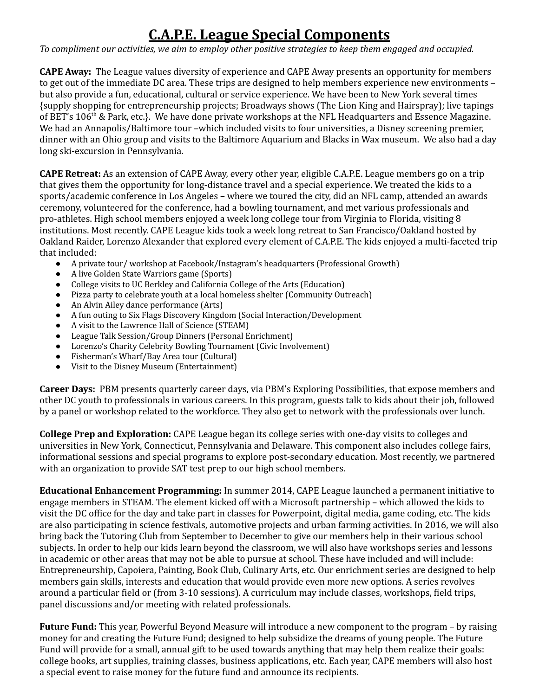### **C.A.P.E. League Special Components**

To compliment our activities, we aim to employ other positive strategies to keep them engaged and occupied.

**CAPE Away:** The League values diversity of experience and CAPE Away presents an opportunity for members to get out of the immediate DC area. These trips are designed to help members experience new environments – but also provide a fun, educational, cultural or service experience. We have been to New York several times {supply shopping for entrepreneurship projects; Broadways shows (The Lion King and Hairspray); live tapings of BET's 106<sup>th</sup> & Park, etc.}. We have done private workshops at the NFL Headquarters and Essence Magazine. We had an Annapolis/Baltimore tour –which included visits to four universities, a Disney screening premier, dinner with an Ohio group and visits to the Baltimore Aquarium and Blacks in Wax museum. We also had a day long ski-excursion in Pennsylvania.

**CAPE Retreat:** As an extension of CAPE Away, every other year, eligible C.A.P.E. League members go on a trip that gives them the opportunity for long-distance travel and a special experience. We treated the kids to a sports/academic conference in Los Angeles – where we toured the city, did an NFL camp, attended an awards ceremony, volunteered for the conference, had a bowling tournament, and met various professionals and pro-athletes. High school members enjoyed a week long college tour from Virginia to Florida, visiting 8 institutions. Most recently. CAPE League kids took a week long retreat to San Francisco/Oakland hosted by Oakland Raider, Lorenzo Alexander that explored every element of C.A.P.E. The kids enjoyed a multi-faceted trip that included:

- A private tour/ workshop at Facebook/Instagram's headquarters (Professional Growth)
- A live Golden State Warriors game (Sports)
- College visits to UC Berkley and California College of the Arts (Education)
- Pizza party to celebrate youth at a local homeless shelter (Community Outreach)
- An Alvin Ailey dance performance (Arts)
- A fun outing to Six Flags Discovery Kingdom (Social Interaction/Development
- A visit to the Lawrence Hall of Science (STEAM)
- League Talk Session/Group Dinners (Personal Enrichment)
- Lorenzo's Charity Celebrity Bowling Tournament (Civic Involvement)
- Fisherman's Wharf/Bay Area tour (Cultural)
- Visit to the Disney Museum (Entertainment)

**Career Days:** PBM presents quarterly career days, via PBM's Exploring Possibilities, that expose members and other DC youth to professionals in various careers. In this program, guests talk to kids about their job, followed by a panel or workshop related to the workforce. They also get to network with the professionals over lunch.

**College Prep and Exploration:** CAPE League began its college series with one-day visits to colleges and universities in New York, Connecticut, Pennsylvania and Delaware. This component also includes college fairs, informational sessions and special programs to explore post-secondary education. Most recently, we partnered with an organization to provide SAT test prep to our high school members.

**Educational Enhancement Programming:** In summer 2014, CAPE League launched a permanent initiative to engage members in STEAM. The element kicked off with a Microsoft partnership – which allowed the kids to visit the DC office for the day and take part in classes for Powerpoint, digital media, game coding, etc. The kids are also participating in science festivals, automotive projects and urban farming activities. In 2016, we will also bring back the Tutoring Club from September to December to give our members help in their various school subjects. In order to help our kids learn beyond the classroom, we will also have workshops series and lessons in academic or other areas that may not be able to pursue at school. These have included and will include: Entrepreneurship, Capoiera, Painting, Book Club, Culinary Arts, etc. Our enrichment series are designed to help members gain skills, interests and education that would provide even more new options. A series revolves around a particular field or (from 3-10 sessions). A curriculum may include classes, workshops, field trips, panel discussions and/or meeting with related professionals.

**Future Fund:** This year, Powerful Beyond Measure will introduce a new component to the program – by raising money for and creating the Future Fund; designed to help subsidize the dreams of young people. The Future Fund will provide for a small, annual gift to be used towards anything that may help them realize their goals: college books, art supplies, training classes, business applications, etc. Each year, CAPE members will also host a special event to raise money for the future fund and announce its recipients.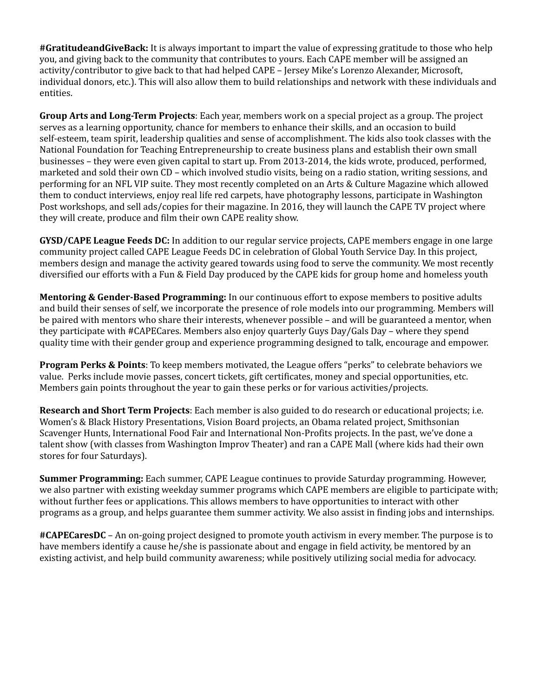**#GratitudeandGiveBack:** It is always important to impart the value of expressing gratitude to those who help you, and giving back to the community that contributes to yours. Each CAPE member will be assigned an activity/contributor to give back to that had helped CAPE – Jersey Mike's Lorenzo Alexander, Microsoft, individual donors, etc.). This will also allow them to build relationships and network with these individuals and entities.

**Group Arts and Long-Term Projects**: Each year, members work on a special project as a group. The project serves as a learning opportunity, chance for members to enhance their skills, and an occasion to build self-esteem, team spirit, leadership qualities and sense of accomplishment. The kids also took classes with the National Foundation for Teaching Entrepreneurship to create business plans and establish their own small businesses – they were even given capital to start up. From 2013-2014, the kids wrote, produced, performed, marketed and sold their own CD – which involved studio visits, being on a radio station, writing sessions, and performing for an NFL VIP suite. They most recently completed on an Arts & Culture Magazine which allowed them to conduct interviews, enjoy real life red carpets, have photography lessons, participate in Washington Post workshops, and sell ads/copies for their magazine. In 2016, they will launch the CAPE TV project where they will create, produce and film their own CAPE reality show.

**GYSD/CAPE League Feeds DC:** In addition to our regular service projects, CAPE members engage in one large community project called CAPE League Feeds DC in celebration of Global Youth Service Day. In this project, members design and manage the activity geared towards using food to serve the community. We most recently diversified our efforts with a Fun & Field Day produced by the CAPE kids for group home and homeless youth

**Mentoring & Gender-Based Programming:** In our continuous effort to expose members to positive adults and build their senses of self, we incorporate the presence of role models into our programming. Members will be paired with mentors who share their interests, whenever possible – and will be guaranteed a mentor, when they participate with #CAPECares. Members also enjoy quarterly Guys Day/Gals Day – where they spend quality time with their gender group and experience programming designed to talk, encourage and empower.

**Program Perks & Points**: To keep members motivated, the League offers "perks" to celebrate behaviors we value. Perks include movie passes, concert tickets, gift certificates, money and special opportunities, etc. Members gain points throughout the year to gain these perks or for various activities/projects.

**Research and Short Term Projects**: Each member is also guided to do research or educational projects; i.e. Women's & Black History Presentations, Vision Board projects, an Obama related project, Smithsonian Scavenger Hunts, International Food Fair and International Non-Profits projects. In the past, we've done a talent show (with classes from Washington Improv Theater) and ran a CAPE Mall (where kids had their own stores for four Saturdays).

**Summer Programming:** Each summer, CAPE League continues to provide Saturday programming. However, we also partner with existing weekday summer programs which CAPE members are eligible to participate with; without further fees or applications. This allows members to have opportunities to interact with other programs as a group, and helps guarantee them summer activity. We also assist in finding jobs and internships.

**#CAPECaresDC** – An on-going project designed to promote youth activism in every member. The purpose is to have members identify a cause he/she is passionate about and engage in field activity, be mentored by an existing activist, and help build community awareness; while positively utilizing social media for advocacy.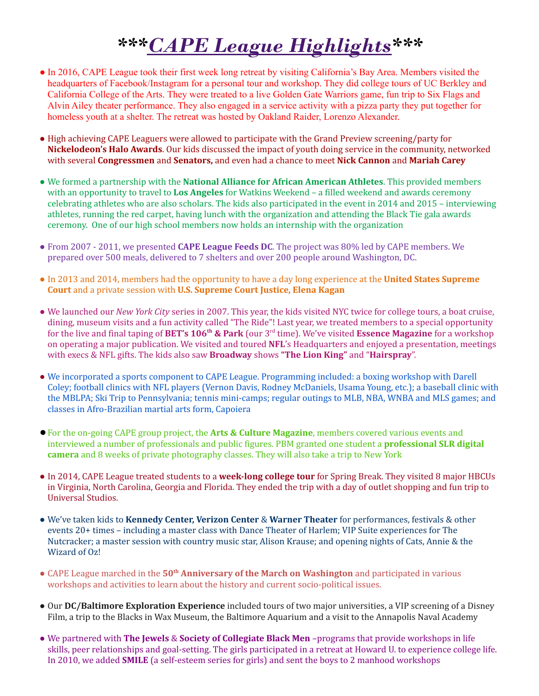## *\*\*\*CAPE League Highlights\*\*\**

- In 2016, CAPE League took their first week long retreat by visiting California's Bay Area. Members visited the headquarters of Facebook/Instagram for a personal tour and workshop. They did college tours of UC Berkley and California College of the Arts. They were treated to a live Golden Gate Warriors game, fun trip to Six Flags and Alvin Ailey theater performance. They also engaged in a service activity with a pizza party they put together for homeless youth at a shelter. The retreat was hosted by Oakland Raider, Lorenzo Alexander.
- High achieving CAPE Leaguers were allowed to participate with the Grand Preview screening/party for **Nickelodeon's Halo Awards**. Our kids discussed the impact of youth doing service in the community, networked with several **Congressmen** and **Senators,** and even had a chance to meet **Nick Cannon** and **Mariah Carey**
- We formed a partnership with the **National Alliance for African American Athletes**. This provided members with an opportunity to travel to **Los Angeles** for Watkins Weekend – a filled weekend and awards ceremony celebrating athletes who are also scholars. The kids also participated in the event in 2014 and 2015 – interviewing athletes, running the red carpet, having lunch with the organization and attending the Black Tie gala awards ceremony. One of our high school members now holds an internship with the organization
- From 2007 2011, we presented **CAPE League Feeds DC**. The project was 80% led by CAPE members. We prepared over 500 meals, delivered to 7 shelters and over 200 people around Washington, DC.
- In 2013 and 2014, members had the opportunity to have a day long experience at the **United States Supreme Court** and a private session with **U.S. Supreme Court Justice, Elena Kagan**
- We launched our *New York City* series in 2007. This year, the kids visited NYC twice for college tours, a boat cruise, dining, museum visits and a fun activity called "The Ride"! Last year, we treated members to a special opportunity for the live and final taping of **BET's 106th & Park** (our 3rd time). We've visited **Essence Magazine** for a workshop on operating a major publication. We visited and toured **NFL**'s Headquarters and enjoyed a presentation, meetings with execs & NFL gifts. The kids also saw **Broadway** shows **"The Lion King"** and "**Hairspray**".
- We incorporated a sports component to CAPE League. Programming included: a boxing workshop with Darell Coley; football clinics with NFL players (Vernon Davis, Rodney McDaniels, Usama Young, etc.); a baseball clinic with the MBLPA; Ski Trip to Pennsylvania; tennis mini-camps; regular outings to MLB, NBA, WNBA and MLS games; and classes in Afro-Brazilian martial arts form, Capoiera
- ●For the on-going CAPE group project, the **Arts & Culture Magazine**, members covered various events and interviewed a number of professionals and public figures. PBM granted one student a **professional SLR digital camera** and 8 weeks of private photography classes. They will also take a trip to New York
- In 2014, CAPE League treated students to a **week-long college tour** for Spring Break. They visited 8 major HBCUs in Virginia, North Carolina, Georgia and Florida. They ended the trip with a day of outlet shopping and fun trip to Universal Studios.
- We've taken kids to **Kennedy Center, Verizon Center** & **Warner Theater** for performances, festivals & other events 20+ times – including a master class with Dance Theater of Harlem; VIP Suite experiences for The Nutcracker; a master session with country music star, Alison Krause; and opening nights of Cats, Annie & the Wizard of Oz!
- CAPE League marched in the **50th Anniversary of the March on Washington** and participated in various workshops and activities to learn about the history and current socio-political issues.
- Our **DC/Baltimore Exploration Experience** included tours of two major universities, a VIP screening of a Disney Film, a trip to the Blacks in Wax Museum, the Baltimore Aquarium and a visit to the Annapolis Naval Academy
- We partnered with **The Jewels** & **Society of Collegiate Black Men** –programs that provide workshops in life skills, peer relationships and goal-setting. The girls participated in a retreat at Howard U. to experience college life. In 2010, we added **SMILE** (a self-esteem series for girls) and sent the boys to 2 manhood workshops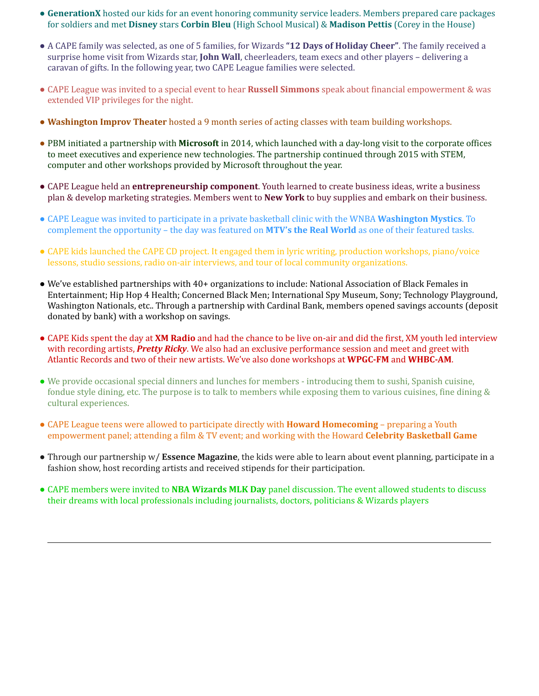- **GenerationX** hosted our kids for an event honoring community service leaders. Members prepared care packages for soldiers and met **Disney** stars **Corbin Bleu** (High School Musical) & **Madison Pettis** (Corey in the House)
- A CAPE family was selected, as one of 5 families, for Wizards **"12 Days of Holiday Cheer"**. The family received a surprise home visit from Wizards star, **John Wall**, cheerleaders, team execs and other players – delivering a caravan of gifts. In the following year, two CAPE League families were selected.
- CAPE League was invited to a special event to hear **Russell Simmons** speak about financial empowerment & was extended VIP privileges for the night.
- **Washington Improv Theater** hosted a 9 month series of acting classes with team building workshops.
- PBM initiated a partnership with **Microsoft** in 2014, which launched with a day-long visit to the corporate offices to meet executives and experience new technologies. The partnership continued through 2015 with STEM, computer and other workshops provided by Microsoft throughout the year.
- CAPE League held an **entrepreneurship component**. Youth learned to create business ideas, write a business plan & develop marketing strategies. Members went to **New York** to buy supplies and embark on their business.
- CAPE League was invited to participate in a private basketball clinic with the WNBA **Washington Mystics**. To complement the opportunity – the day was featured on **MTV's the Real World** as one of their featured tasks.
- CAPE kids launched the CAPE CD project. It engaged them in lyric writing, production workshops, piano/voice lessons, studio sessions, radio on-air interviews, and tour of local community organizations.
- We've established partnerships with 40+ organizations to include: National Association of Black Females in Entertainment; Hip Hop 4 Health; Concerned Black Men; International Spy Museum, Sony; Technology Playground, Washington Nationals, etc.. Through a partnership with Cardinal Bank, members opened savings accounts (deposit donated by bank) with a workshop on savings.
- CAPE Kids spent the day at **XM Radio** and had the chance to be live on-air and did the first, XM youth led interview with recording artists, *Pretty Ricky*. We also had an exclusive performance session and meet and greet with Atlantic Records and two of their new artists. We've also done workshops at **WPGC-FM** and **WHBC-AM**.
- We provide occasional special dinners and lunches for members introducing them to sushi, Spanish cuisine, fondue style dining, etc. The purpose is to talk to members while exposing them to various cuisines, fine dining & cultural experiences.
- CAPE League teens were allowed to participate directly with **Howard Homecoming** preparing a Youth empowerment panel; attending a film & TV event; and working with the Howard **Celebrity Basketball Game**
- Through our partnership w/ **Essence Magazine**, the kids were able to learn about event planning, participate in a fashion show, host recording artists and received stipends for their participation.
- CAPE members were invited to **NBA Wizards MLK Day** panel discussion. The event allowed students to discuss their dreams with local professionals including journalists, doctors, politicians & Wizards players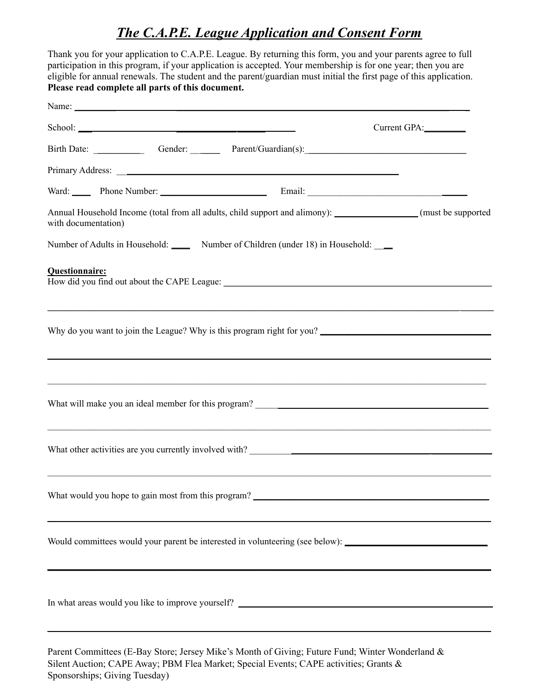### *The C.A.P.E. League Application and Consent Form*

Thank you for your application to C.A.P.E. League. By returning this form, you and your parents agree to full participation in this program, if your application is accepted. Your membership is for one year; then you are eligible for annual renewals. The student and the parent/guardian must initial the first page of this application. **Please read complete all parts of this document.** Name: **\_\_\_\_\_\_\_\_\_ \_\_\_\_\_\_\_\_\_\_\_\_\_\_\_\_\_\_\_\_\_\_\_\_\_\_\_\_\_\_\_\_\_\_\_\_\_\_\_\_\_\_\_\_\_\_\_\_\_\_\_\_\_\_\_\_\_\_\_ \_** School: **\_\_\_ \_\_\_\_\_\_\_\_\_\_\_\_\_\_\_\_\_\_\_** Current GPA:\_\_\_\_\_\_\_\_\_ Birth Date: \_\_\_\_\_\_\_\_\_\_\_ Gender: \_\_ \_\_\_\_ Parent/Guardian(s):\_\_\_\_\_\_\_\_\_\_\_\_\_\_\_\_\_\_\_\_\_\_\_\_\_\_\_\_\_\_\_\_\_\_\_ Primary Address: \_\_\_\_\_\_\_\_\_\_\_\_\_\_\_\_\_\_\_\_\_\_\_\_\_\_\_\_\_\_\_\_\_\_\_\_\_\_\_\_\_\_\_\_\_\_\_\_\_\_\_\_\_\_\_\_\_\_\_\_\_ Ward: **\_\_\_\_** Phone Number: \_\_\_\_\_\_\_\_\_\_\_\_\_\_\_\_\_\_\_\_\_\_\_ Email: \_\_\_\_\_\_\_\_\_\_\_\_\_\_\_\_\_\_\_\_\_\_\_\_\_\_\_\_\_ \_\_\_\_\_ Annual Household Income (total from all adults, child support and alimony): **\_\_\_\_\_\_\_\_\_\_\_\_\_\_\_\_\_\_** (must be supported with documentation) Number of Adults in Household: \_\_\_\_\_ Number of Children (under 18) in Household: \_\_ **Questionnaire:** How did you find out about the CAPE League: \_\_\_\_\_\_\_\_\_\_\_\_\_\_\_\_\_\_\_\_\_\_\_\_\_\_\_\_\_\_\_\_\_\_\_\_\_\_\_\_\_\_\_\_\_\_\_\_\_\_\_\_\_\_\_\_\_\_ \_\_\_\_\_\_\_\_\_\_\_\_\_\_\_\_\_\_\_\_\_\_\_\_\_\_\_\_\_\_\_\_\_\_\_\_\_\_\_\_\_\_\_\_\_\_\_\_\_\_\_\_\_\_\_\_\_\_\_\_\_\_\_\_\_\_\_\_\_\_\_\_\_\_\_\_\_\_\_\_\_\_\_\_\_\_\_\_\_ \_\_\_\_\_\_\_ Why do you want to join the League? Why is this program right for you? \_\_\_\_\_\_\_\_\_\_\_\_\_\_\_\_\_\_\_\_\_\_\_\_\_\_\_\_\_\_\_\_\_\_\_\_\_\_\_\_\_\_\_\_\_\_\_\_\_\_\_\_\_\_\_\_\_\_\_\_\_\_\_\_\_\_\_\_\_\_\_\_\_\_\_\_\_\_\_\_\_\_\_\_\_\_\_\_\_\_\_\_\_\_\_\_  $\mathcal{L}_\mathcal{L} = \mathcal{L}_\mathcal{L} = \mathcal{L}_\mathcal{L} = \mathcal{L}_\mathcal{L} = \mathcal{L}_\mathcal{L} = \mathcal{L}_\mathcal{L} = \mathcal{L}_\mathcal{L} = \mathcal{L}_\mathcal{L} = \mathcal{L}_\mathcal{L} = \mathcal{L}_\mathcal{L} = \mathcal{L}_\mathcal{L} = \mathcal{L}_\mathcal{L} = \mathcal{L}_\mathcal{L} = \mathcal{L}_\mathcal{L} = \mathcal{L}_\mathcal{L} = \mathcal{L}_\mathcal{L} = \mathcal{L}_\mathcal{L}$ What will make you an ideal member for this program?  $\mathcal{L}_\mathcal{L} = \mathcal{L}_\mathcal{L} = \mathcal{L}_\mathcal{L} = \mathcal{L}_\mathcal{L} = \mathcal{L}_\mathcal{L} = \mathcal{L}_\mathcal{L} = \mathcal{L}_\mathcal{L} = \mathcal{L}_\mathcal{L} = \mathcal{L}_\mathcal{L} = \mathcal{L}_\mathcal{L} = \mathcal{L}_\mathcal{L} = \mathcal{L}_\mathcal{L} = \mathcal{L}_\mathcal{L} = \mathcal{L}_\mathcal{L} = \mathcal{L}_\mathcal{L} = \mathcal{L}_\mathcal{L} = \mathcal{L}_\mathcal{L}$ What other activities are you currently involved with? \_\_\_\_\_\_\_\_\_\_\_\_\_\_\_\_\_\_\_\_\_\_\_\_\_ What would you hope to gain most from this program? \_\_\_\_\_\_\_\_\_\_\_\_\_\_\_\_\_\_\_\_\_\_\_\_\_\_\_\_\_\_\_\_\_\_\_\_\_\_\_\_\_\_\_\_\_\_\_\_\_\_\_\_\_\_\_\_\_\_\_\_\_\_\_\_\_\_\_\_\_\_\_\_\_\_\_\_\_\_\_\_\_\_\_\_\_\_\_\_\_\_\_\_\_\_\_\_ Would committees would your parent be interested in volunteering (see below): **\_\_\_\_\_\_\_\_\_\_\_\_\_\_\_\_\_\_\_\_\_\_\_\_\_\_\_\_\_\_\_ \_\_\_\_\_\_\_\_\_\_\_\_\_\_\_\_\_\_\_\_\_\_\_\_\_\_\_\_\_\_\_\_\_\_\_\_\_\_\_\_\_\_\_\_\_\_\_\_\_\_\_\_\_\_\_\_\_\_\_\_\_\_\_\_\_\_\_\_\_\_\_\_\_\_\_\_\_\_\_\_\_\_\_\_\_\_\_\_\_\_\_\_\_\_\_\_** In what areas would you like to improve yourself? \_\_\_\_\_\_\_\_\_\_\_\_\_\_\_\_\_\_\_\_\_\_\_\_\_\_\_\_\_\_\_ \_\_\_\_\_\_\_\_\_\_\_\_\_\_\_\_\_\_\_\_\_\_\_\_\_\_\_\_\_\_\_\_\_\_\_\_\_\_\_\_\_\_\_\_\_\_\_\_\_\_\_\_\_\_\_\_\_\_\_\_\_\_\_\_\_\_\_\_\_\_\_\_\_\_\_\_\_\_\_\_\_\_\_\_\_\_\_\_\_\_\_\_\_\_\_\_

Parent Committees (E-Bay Store; Jersey Mike's Month of Giving; Future Fund; Winter Wonderland & Silent Auction; CAPE Away; PBM Flea Market; Special Events; CAPE activities; Grants & Sponsorships; Giving Tuesday)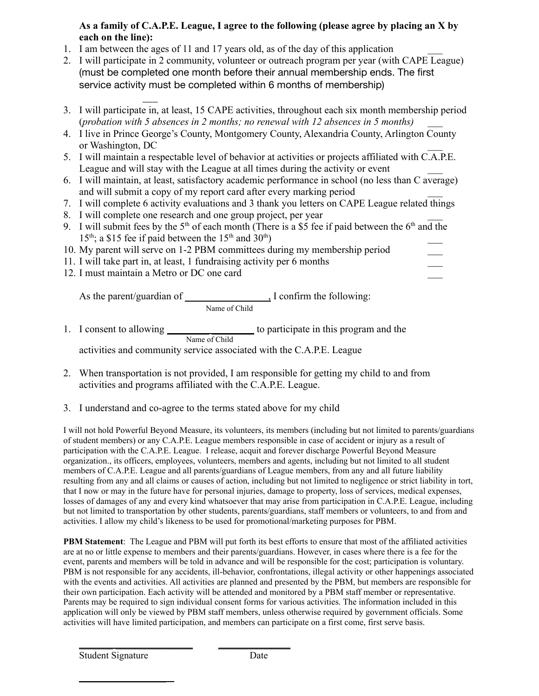#### **As a family of C.A.P.E. League, I agree to the following (please agree by placing an X by each on the line):**

- 1. I am between the ages of 11 and 17 years old, as of the day of this application \_\_\_
- 2. I will participate in 2 community, volunteer or outreach program per year (with CAPE League) (must be completed one month before their annual membership ends. The first service activity must be completed within 6 months of membership)
- $\overline{\phantom{a}}$ 3. I will participate in, at least, 15 CAPE activities, throughout each six month membership period (*probation with 5 absences in 2 months; no renewal with 12 absences in 5 months) \_\_\_*
- 4. I live in Prince George's County, Montgomery County, Alexandria County, Arlington County or Washington, DC \_\_\_
- 5. I will maintain a respectable level of behavior at activities or projects affiliated with C.A.P.E. League and will stay with the League at all times during the activity or event
- 6. I will maintain, at least, satisfactory academic performance in school (no less than C average) and will submit a copy of my report card after every marking period
- 7. I will complete 6 activity evaluations and 3 thank you letters on CAPE League related things
- 8. I will complete one research and one group project, per year
- 9. I will submit fees by the  $5<sup>th</sup>$  of each month (There is a \$5 fee if paid between the  $6<sup>th</sup>$  and the  $15<sup>th</sup>$ ; a \$15 fee if paid between the  $15<sup>th</sup>$  and  $30<sup>th</sup>$ ) and the contract of  $\overline{\phantom{a}}$
- 10. My parent will serve on 1-2 PBM committees during my membership period \_\_\_
- 11. I will take part in, at least, 1 fundraising activity per 6 months \_\_\_
- 12. I must maintain a Metro or DC one card

As the parent/guardian of \_\_\_\_\_\_\_\_\_\_\_ \_\_\_\_\_, I confirm the following: Name of Child

- 1. I consent to allowing \_\_\_\_\_\_\_\_\_\_\_\_\_\_\_\_\_\_\_ to participate in this program and the Name of Child activities and community service associated with the C.A.P.E. League
- 2. When transportation is not provided, I am responsible for getting my child to and from activities and programs affiliated with the C.A.P.E. League.
- 3. I understand and co-agree to the terms stated above for my child

I will not hold Powerful Beyond Measure, its volunteers, its members (including but not limited to parents/guardians of student members) or any C.A.P.E. League members responsible in case of accident or injury as a result of participation with the C.A.P.E. League. I release, acquit and forever discharge Powerful Beyond Measure organization., its officers, employees, volunteers, members and agents, including but not limited to all student members of C.A.P.E. League and all parents/guardians of League members, from any and all future liability resulting from any and all claims or causes of action, including but not limited to negligence or strict liability in tort, that I now or may in the future have for personal injuries, damage to property, loss of services, medical expenses, losses of damages of any and every kind whatsoever that may arise from participation in C.A.P.E. League, including but not limited to transportation by other students, parents/guardians, staff members or volunteers, to and from and activities. I allow my child's likeness to be used for promotional/marketing purposes for PBM.

**PBM Statement**: The League and PBM will put forth its best efforts to ensure that most of the affiliated activities are at no or little expense to members and their parents/guardians. However, in cases where there is a fee for the event, parents and members will be told in advance and will be responsible for the cost; participation is voluntary. PBM is not responsible for any accidents, ill-behavior, confrontations, illegal activity or other happenings associated with the events and activities. All activities are planned and presented by the PBM, but members are responsible for their own participation. Each activity will be attended and monitored by a PBM staff member or representative. Parents may be required to sign individual consent forms for various activities. The information included in this application will only be viewed by PBM staff members, unless otherwise required by government officials. Some activities will have limited participation, and members can participate on a first come, first serve basis.

 $\frac{1}{2}$